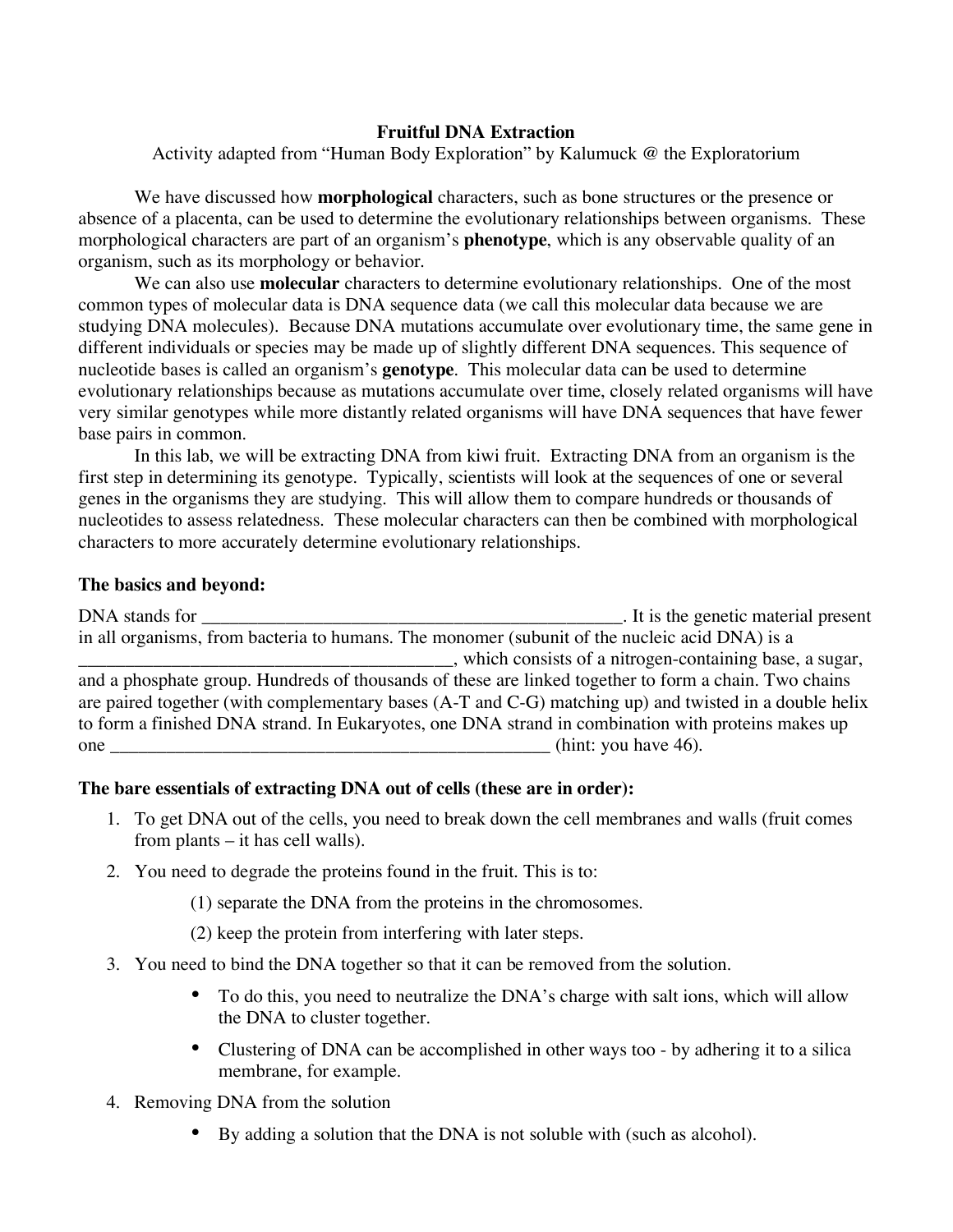## **Fruitful DNA Extraction**

Activity adapted from "Human Body Exploration" by Kalumuck @ the Exploratorium

 We have discussed how **morphological** characters, such as bone structures or the presence or absence of a placenta, can be used to determine the evolutionary relationships between organisms. These morphological characters are part of an organism's **phenotype**, which is any observable quality of an organism, such as its morphology or behavior.

 We can also use **molecular** characters to determine evolutionary relationships. One of the most common types of molecular data is DNA sequence data (we call this molecular data because we are studying DNA molecules). Because DNA mutations accumulate over evolutionary time, the same gene in different individuals or species may be made up of slightly different DNA sequences. This sequence of nucleotide bases is called an organism's **genotype**. This molecular data can be used to determine evolutionary relationships because as mutations accumulate over time, closely related organisms will have very similar genotypes while more distantly related organisms will have DNA sequences that have fewer base pairs in common.

 In this lab, we will be extracting DNA from kiwi fruit. Extracting DNA from an organism is the first step in determining its genotype. Typically, scientists will look at the sequences of one or several genes in the organisms they are studying. This will allow them to compare hundreds or thousands of nucleotides to assess relatedness. These molecular characters can then be combined with morphological characters to more accurately determine evolutionary relationships.

## **The basics and beyond:**

DNA stands for \_\_\_\_\_\_\_\_\_\_\_\_\_\_\_\_\_\_\_\_\_\_\_\_\_\_\_\_\_\_\_\_\_\_\_\_\_\_\_\_\_\_\_\_\_. It is the genetic material present in all organisms, from bacteria to humans. The monomer (subunit of the nucleic acid DNA) is a \_\_\_\_\_\_\_\_\_\_\_\_\_\_\_\_\_\_\_\_\_\_\_\_\_\_\_\_\_\_\_\_\_\_\_\_\_\_\_\_, which consists of a nitrogen-containing base, a sugar, and a phosphate group. Hundreds of thousands of these are linked together to form a chain. Two chains are paired together (with complementary bases (A-T and C-G) matching up) and twisted in a double helix to form a finished DNA strand. In Eukaryotes, one DNA strand in combination with proteins makes up one and  $\frac{1}{2}$  (hint: you have 46).

## **The bare essentials of extracting DNA out of cells (these are in order):**

- 1. To get DNA out of the cells, you need to break down the cell membranes and walls (fruit comes from plants – it has cell walls).
- 2. You need to degrade the proteins found in the fruit. This is to:
	- (1) separate the DNA from the proteins in the chromosomes.
	- (2) keep the protein from interfering with later steps.
- 3. You need to bind the DNA together so that it can be removed from the solution.
	- To do this, you need to neutralize the DNA's charge with salt ions, which will allow the DNA to cluster together.
	- Clustering of DNA can be accomplished in other ways too by adhering it to a silica membrane, for example.
- 4. Removing DNA from the solution
	- By adding a solution that the DNA is not soluble with (such as alcohol).